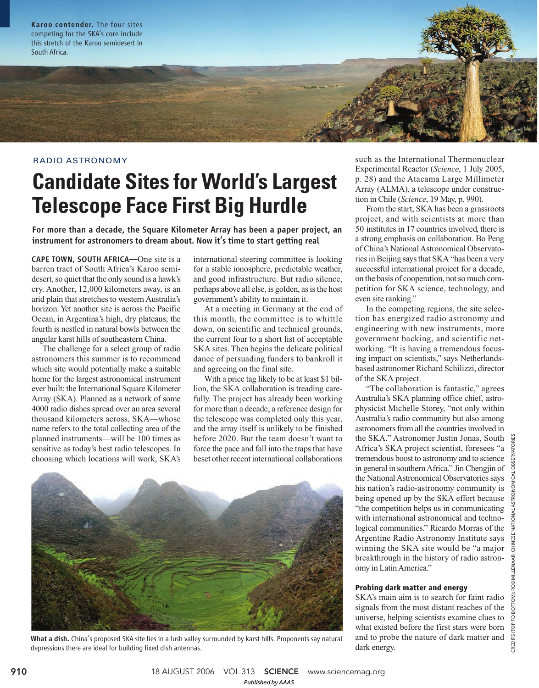Karoo contender. The four sites competing for the SKA's core include this stretch of the Karoo semidesert in South Africa.

#### RADIO ASTRONOMY

# **Candidate Sites for World's Largest Telescope Face First Big Hurdle**

For more than a decade, the Square Kilometer Array has been a paper project, an instrument for astronomers to dream about. Now it's time to start getting real

CAPE TOWN, SOUTH AFRICA—One site is a barren tract of South Africa's Karoo semidesert, so quiet that the only sound is a hawk's cry. Another, 12,000 kilometers away, is an arid plain that stretches to western Australia's horizon. Yet another site is across the Pacific Ocean, in Argentina's high, dry plateaus; the fourth is nestled in natural bowls between the angular karst hills of southeastern China.

The challenge for a select group of radio astronomers this summer is to recommend which site would potentially make a suitable home for the largest astronomical instrument ever built: the International Square Kilometer Array (SKA). Planned as a network of some 4000 radio dishes spread over an area several thousand kilometers across, SKA—whose name refers to the total collecting area of the planned instruments—will be 100 times as sensitive as today's best radio telescopes. In choosing which locations will work, SKA's international steering committee is looking for a stable ionosphere, predictable weather, and good infrastructure. But radio silence, perhaps above all else, is golden, as is the host government's ability to maintain it.

At a meeting in Germany at the end of this month, the committee is to whittle down, on scientific and technical grounds, the current four to a short list of acceptable SKA sites. Then begins the delicate political dance of persuading funders to bankroll it and agreeing on the final site.

With a price tag likely to be at least \$1 billion, the SKA collaboration is treading carefully. The project has already been working for more than a decade; a reference design for the telescope was completed only this year, and the array itself is unlikely to be finished before 2020. But the team doesn't want to force the pace and fall into the traps that have beset other recent international collaborations



What a dish. China's proposed SKA site lies in a lush valley surrounded by karst hills. Proponents say natural depressions there are ideal for building fixed dish antennas.

such as the International Thermonuclear Experimental Reactor (*Science*, 1 July 2005, p. 28) and the Atacama Large Millimeter Array (ALMA), a telescope under construction in Chile (*Science*, 19 May, p. 990).

From the start, SKA has been a grassroots project, and with scientists at more than 50 institutes in 17 countries involved, there is a strong emphasis on collaboration. Bo Peng of China's National Astronomical Observatories in Beijing says that SKA "has been a very successful international project for a decade, on the basis of cooperation, not so much competition for SKA science, technology, and even site ranking."

In the competing regions, the site selection has energized radio astronomy and engineering with new instruments, more government backing, and scientific networking. "It is having a tremendous focusing impact on scientists," says Netherlandsbased astronomer Richard Schilizzi, director of the SKA project.

"The collaboration is fantastic," agrees Australia's SKA planning office chief, astrophysicist Michelle Storey, "not only within Australia's radio community but also among astronomers from all the countries involved in the SKA." Astronomer Justin Jonas, South Africa's SKA project scientist, foresees "a tremendous boost to astronomy and to science in general in southern Africa." Jin Chengjin of the National Astronomical Observatories says his nation's radio-astronomy community is being opened up by the SKA effort because "the competition helps us in communicating with international astronomical and technological communities." Ricardo Morras of the Argentine Radio Astronomy Institute says winning the SKA site would be "a major breakthrough in the history of radio astronomy in Latin America."

#### **Probing dark matter and energy**

SKA's main aim is to search for faint radio signals from the most distant reaches of the universe, helping scientists examine clues to what existed before the first stars were born and to probe the nature of dark matter and dark energy.

**910** 18 AUGUST 2006 VOL 313 **SCIENCE** www.sciencemag.org *Published byAAAS*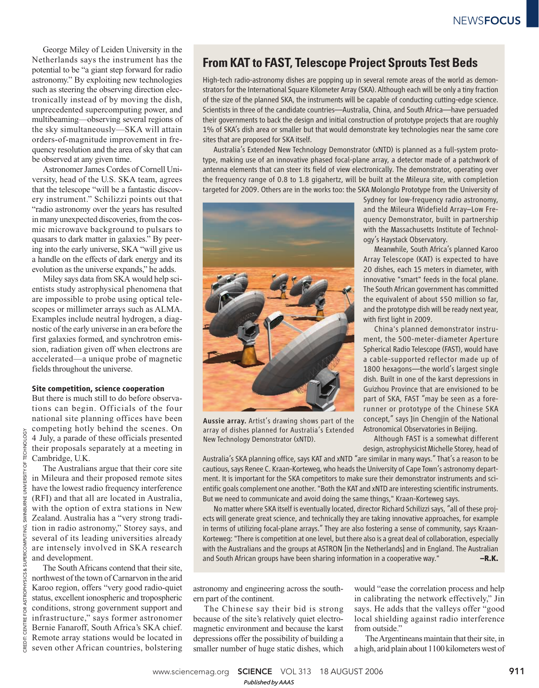George Miley of Leiden University in the Netherlands says the instrument has the potential to be "a giant step forward for radio astronomy." By exploiting new technologies such as steering the observing direction electronically instead of by moving the dish, unprecedented supercomputing power, and multibeaming—observing several regions of the sky simultaneously—SKA will attain orders-of-magnitude improvement in frequency resolution and the area of sky that can be observed at any given time.

Astronomer James Cordes of Cornell University, head of the U.S. SKA team, agrees that the telescope "will be a fantastic discovery instrument." Schilizzi points out that "radio astronomy over the years has resulted in many unexpected discoveries, from the cosmic microwave background to pulsars to quasars to dark matter in galaxies." By peering into the early universe, SKA "will give us a handle on the effects of dark energy and its evolution as the universe expands," he adds.

Miley says data from SKA would help scientists study astrophysical phenomena that are impossible to probe using optical telescopes or millimeter arrays such as ALMA. Examples include neutral hydrogen, a diagnostic of the early universe in an era before the first galaxies formed, and synchrotron emission, radiation given off when electrons are accelerated—a unique probe of magnetic fields throughout the universe.

#### **Site competition, science cooperation**

But there is much still to do before observations can begin. Officials of the four national site planning offices have been competing hotly behind the scenes. On 4 July, a parade of these officials presented their proposals separately at a meeting in Cambridge, U.K.

The Australians argue that their core site in Mileura and their proposed remote sites have the lowest radio frequency interference (RFI) and that all are located in Australia, with the option of extra stations in New Zealand. Australia has a "very strong tradition in radio astronomy," Storey says, and several of its leading universities already are intensely involved in SKA research and development.

The South Africans contend that their site, northwest of the town of Carnarvon in the arid Karoo region, offers "very good radio-quiet status, excellent ionospheric and tropospheric conditions, strong government support and infrastructure," says former astronomer Bernie Fanaroff, South Africa's SKA chief. Remote array stations would be located in seven other African countries, bolstering

## **From KAT to FAST, Telescope Project Sprouts Test Beds**

High-tech radio-astronomy dishes are popping up in several remote areas of the world as demonstrators for the International Square Kilometer Array (SKA). Although each will be only a tiny fraction of the size of the planned SKA, the instruments will be capable of conducting cutting-edge science. Scientists in three of the candidate countries—Australia, China, and South Africa—have persuaded their governments to back the design and initial construction of prototype projects that are roughly 1% of SKA's dish area or smaller but that would demonstrate key technologies near the same core sites that are proposed for SKA itself.

Australia's Extended New Technology Demonstrator (xNTD) is planned as a full-system prototype, making use of an innovative phased focal-plane array, a detector made of a patchwork of antenna elements that can steer its field of view electronically. The demonstrator, operating over the frequency range of 0.8 to 1.8 gigahertz, will be built at the Mileura site, with completion targeted for 2009. Others are in the works too: the SKA Molonglo Prototype from the University of



Aussie array. Artist's drawing shows part of the array of dishes planned for Australia's Extended New Technology Demonstrator (xNTD).

Sydney for low-frequency radio astronomy, and the Mileura Widefield Array–Low Frequency Demonstrator, built in partnership with the Massachusetts Institute of Technology's Haystack Observatory.

Meanwhile, South Africa's planned Karoo Array Telescope (KAT) is expected to have 20 dishes, each 15 meters in diameter, with innovative "smart" feeds in the focal plane. The South African government has committed the equivalent of about \$50 million so far, and the prototype dish will be ready next year, with first light in 2009.

China's planned demonstrator instrument, the 500-meter-diameter Aperture Spherical Radio Telescope (FAST), would have a cable-supported reflector made up of 1800 hexagons—the world's largest single dish. Built in one of the karst depressions in Guizhou Province that are envisioned to be part of SKA, FAST "may be seen as a forerunner or prototype of the Chinese SKA concept," says Jin Chengjin of the National Astronomical Observatories in Beijing.

Although FAST is a somewhat different design, astrophysicist Michelle Storey, head of

Australia's SKA planning office, says KAT and xNTD "are similar in many ways." That's a reason to be cautious, says Renee C. Kraan-Korteweg, who heads the University of Cape Town's astronomy department. It is important for the SKA competitors to make sure their demonstrator instruments and scientific goals complement one another. "Both the KAT and xNTD are interesting scientific instruments. But we need to communicate and avoid doing the same things," Kraan-Korteweg says.

No matter where SKA itself is eventually located, director Richard Schilizzi says, "all of these projects will generate great science, and technically they are taking innovative approaches, for example in terms of utilizing focal-plane arrays." They are also fostering a sense of community, says Kraan-Korteweg: "There is competition at one level, but there also is a great deal of collaboration, especially with the Australians and the groups at ASTRON [in the Netherlands] and in England. The Australian and South African groups have been sharing information in a cooperative way." **–R.K.**

astronomy and engineering across the southern part of the continent.

The Chinese say their bid is strong because of the site's relatively quiet electromagnetic environment and because the karst depressions offer the possibility of building a smaller number of huge static dishes, which would "ease the correlation process and help in calibrating the network effectively," Jin says. He adds that the valleys offer "good local shielding against radio interference from outside."

The Argentineans maintain that their site, in a high, arid plain about 1100 kilometers west of